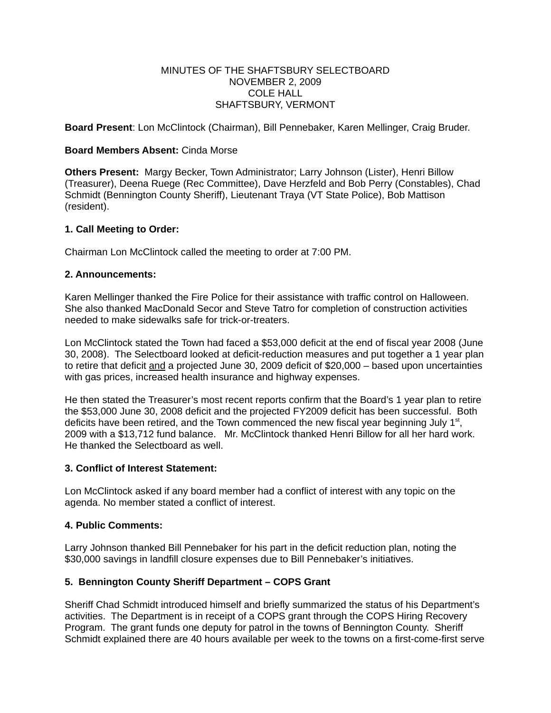#### MINUTES OF THE SHAFTSBURY SELECTBOARD NOVEMBER 2, 2009 COLE HALL SHAFTSBURY, VERMONT

**Board Present**: Lon McClintock (Chairman), Bill Pennebaker, Karen Mellinger, Craig Bruder.

### **Board Members Absent:** Cinda Morse

**Others Present:** Margy Becker, Town Administrator; Larry Johnson (Lister), Henri Billow (Treasurer), Deena Ruege (Rec Committee), Dave Herzfeld and Bob Perry (Constables), Chad Schmidt (Bennington County Sheriff), Lieutenant Traya (VT State Police), Bob Mattison (resident).

### **1. Call Meeting to Order:**

Chairman Lon McClintock called the meeting to order at 7:00 PM.

### **2. Announcements:**

Karen Mellinger thanked the Fire Police for their assistance with traffic control on Halloween. She also thanked MacDonald Secor and Steve Tatro for completion of construction activities needed to make sidewalks safe for trick-or-treaters.

Lon McClintock stated the Town had faced a \$53,000 deficit at the end of fiscal year 2008 (June 30, 2008). The Selectboard looked at deficit-reduction measures and put together a 1 year plan to retire that deficit and a projected June 30, 2009 deficit of \$20,000 – based upon uncertainties with gas prices, increased health insurance and highway expenses.

He then stated the Treasurer's most recent reports confirm that the Board's 1 year plan to retire the \$53,000 June 30, 2008 deficit and the projected FY2009 deficit has been successful. Both deficits have been retired, and the Town commenced the new fiscal year beginning July  $1<sup>st</sup>$ . 2009 with a \$13,712 fund balance. Mr. McClintock thanked Henri Billow for all her hard work. He thanked the Selectboard as well.

#### **3. Conflict of Interest Statement:**

Lon McClintock asked if any board member had a conflict of interest with any topic on the agenda. No member stated a conflict of interest.

### **4. Public Comments:**

Larry Johnson thanked Bill Pennebaker for his part in the deficit reduction plan, noting the \$30,000 savings in landfill closure expenses due to Bill Pennebaker's initiatives.

### **5. Bennington County Sheriff Department – COPS Grant**

Sheriff Chad Schmidt introduced himself and briefly summarized the status of his Department's activities. The Department is in receipt of a COPS grant through the COPS Hiring Recovery Program. The grant funds one deputy for patrol in the towns of Bennington County. Sheriff Schmidt explained there are 40 hours available per week to the towns on a first-come-first serve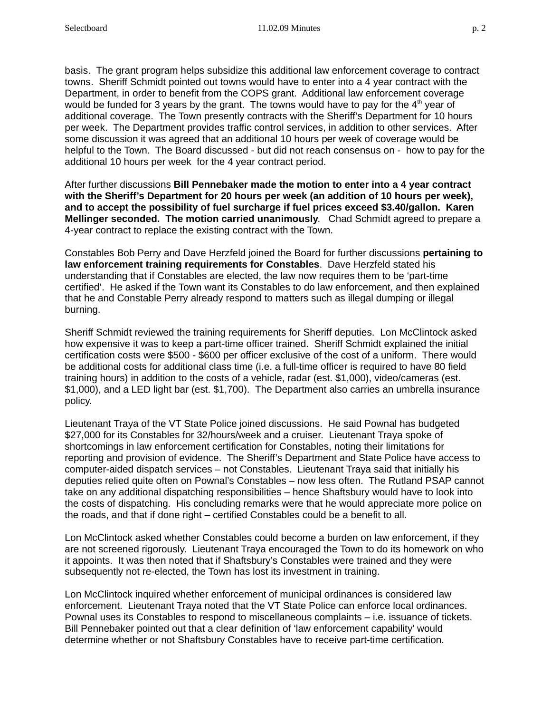basis. The grant program helps subsidize this additional law enforcement coverage to contract towns. Sheriff Schmidt pointed out towns would have to enter into a 4 year contract with the Department, in order to benefit from the COPS grant. Additional law enforcement coverage would be funded for 3 years by the grant. The towns would have to pay for the  $4<sup>th</sup>$  year of additional coverage. The Town presently contracts with the Sheriff's Department for 10 hours per week. The Department provides traffic control services, in addition to other services. After some discussion it was agreed that an additional 10 hours per week of coverage would be helpful to the Town. The Board discussed - but did not reach consensus on - how to pay for the additional 10 hours per week for the 4 year contract period.

After further discussions **Bill Pennebaker made the motion to enter into a 4 year contract with the Sheriff's Department for 20 hours per week (an addition of 10 hours per week), and to accept the possibility of fuel surcharge if fuel prices exceed \$3.40/gallon. Karen Mellinger seconded. The motion carried unanimously**. Chad Schmidt agreed to prepare a 4-year contract to replace the existing contract with the Town.

Constables Bob Perry and Dave Herzfeld joined the Board for further discussions **pertaining to law enforcement training requirements for Constables**. Dave Herzfeld stated his understanding that if Constables are elected, the law now requires them to be 'part-time certified'. He asked if the Town want its Constables to do law enforcement, and then explained that he and Constable Perry already respond to matters such as illegal dumping or illegal burning.

Sheriff Schmidt reviewed the training requirements for Sheriff deputies. Lon McClintock asked how expensive it was to keep a part-time officer trained. Sheriff Schmidt explained the initial certification costs were \$500 - \$600 per officer exclusive of the cost of a uniform. There would be additional costs for additional class time (i.e. a full-time officer is required to have 80 field training hours) in addition to the costs of a vehicle, radar (est. \$1,000), video/cameras (est. \$1,000), and a LED light bar (est. \$1,700). The Department also carries an umbrella insurance policy.

Lieutenant Traya of the VT State Police joined discussions. He said Pownal has budgeted \$27,000 for its Constables for 32/hours/week and a cruiser. Lieutenant Traya spoke of shortcomings in law enforcement certification for Constables, noting their limitations for reporting and provision of evidence. The Sheriff's Department and State Police have access to computer-aided dispatch services – not Constables. Lieutenant Traya said that initially his deputies relied quite often on Pownal's Constables – now less often. The Rutland PSAP cannot take on any additional dispatching responsibilities – hence Shaftsbury would have to look into the costs of dispatching. His concluding remarks were that he would appreciate more police on the roads, and that if done right – certified Constables could be a benefit to all.

Lon McClintock asked whether Constables could become a burden on law enforcement, if they are not screened rigorously. Lieutenant Traya encouraged the Town to do its homework on who it appoints. It was then noted that if Shaftsbury's Constables were trained and they were subsequently not re-elected, the Town has lost its investment in training.

Lon McClintock inquired whether enforcement of municipal ordinances is considered law enforcement. Lieutenant Traya noted that the VT State Police can enforce local ordinances. Pownal uses its Constables to respond to miscellaneous complaints – i.e. issuance of tickets. Bill Pennebaker pointed out that a clear definition of 'law enforcement capability' would determine whether or not Shaftsbury Constables have to receive part-time certification.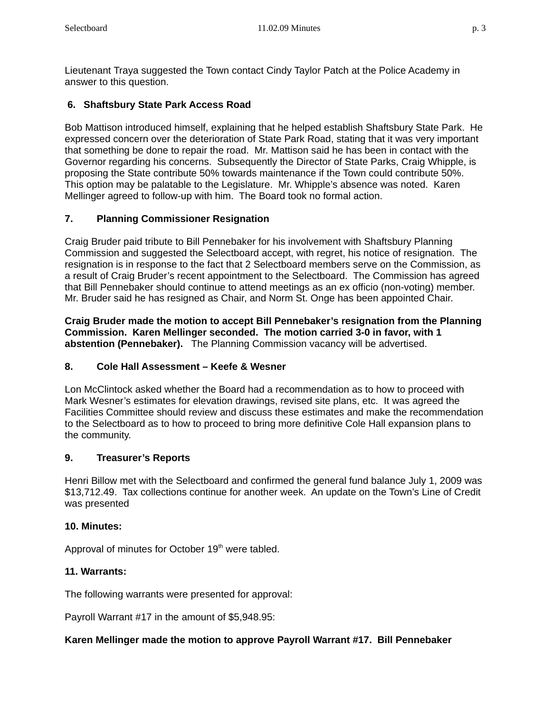Lieutenant Traya suggested the Town contact Cindy Taylor Patch at the Police Academy in answer to this question.

# **6. Shaftsbury State Park Access Road**

Bob Mattison introduced himself, explaining that he helped establish Shaftsbury State Park. He expressed concern over the deterioration of State Park Road, stating that it was very important that something be done to repair the road. Mr. Mattison said he has been in contact with the Governor regarding his concerns. Subsequently the Director of State Parks, Craig Whipple, is proposing the State contribute 50% towards maintenance if the Town could contribute 50%. This option may be palatable to the Legislature. Mr. Whipple's absence was noted. Karen Mellinger agreed to follow-up with him. The Board took no formal action.

# **7. Planning Commissioner Resignation**

Craig Bruder paid tribute to Bill Pennebaker for his involvement with Shaftsbury Planning Commission and suggested the Selectboard accept, with regret, his notice of resignation. The resignation is in response to the fact that 2 Selectboard members serve on the Commission, as a result of Craig Bruder's recent appointment to the Selectboard. The Commission has agreed that Bill Pennebaker should continue to attend meetings as an ex officio (non-voting) member. Mr. Bruder said he has resigned as Chair, and Norm St. Onge has been appointed Chair.

**Craig Bruder made the motion to accept Bill Pennebaker's resignation from the Planning Commission. Karen Mellinger seconded. The motion carried 3-0 in favor, with 1 abstention (Pennebaker).** The Planning Commission vacancy will be advertised.

## **8. Cole Hall Assessment – Keefe & Wesner**

Lon McClintock asked whether the Board had a recommendation as to how to proceed with Mark Wesner's estimates for elevation drawings, revised site plans, etc. It was agreed the Facilities Committee should review and discuss these estimates and make the recommendation to the Selectboard as to how to proceed to bring more definitive Cole Hall expansion plans to the community.

## **9. Treasurer's Reports**

Henri Billow met with the Selectboard and confirmed the general fund balance July 1, 2009 was \$13,712.49. Tax collections continue for another week. An update on the Town's Line of Credit was presented

## **10. Minutes:**

Approval of minutes for October 19<sup>th</sup> were tabled.

## **11. Warrants:**

The following warrants were presented for approval:

Payroll Warrant #17 in the amount of \$5,948.95:

## **Karen Mellinger made the motion to approve Payroll Warrant #17. Bill Pennebaker**